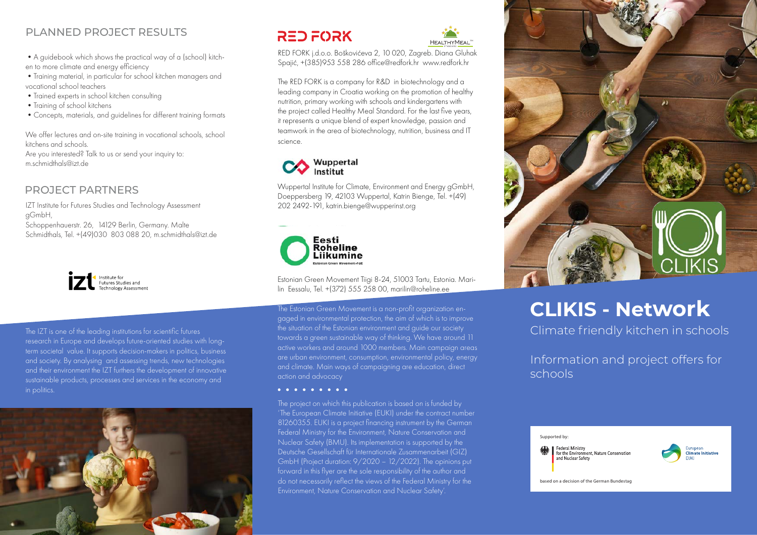## PLANNED PROJECT RESULTS

•A guidebook which shows the practical way of a (school) kitchen to more climate and energy efficiency

•Training material, in particular for school kitchen managers and vocational school teachers

•Trained experts in school kitchen consulting

• Training of school kitchens

•Concepts, materials, and guidelines for different training formats

We offer lectures and on-site training in vocational schools, school kitchens and schools.

Are you interested? Talk to us or send your inquiry to: m.schmidthals@izt.de

## PROJECT PARTNERS

IZT Institute for Futures Studies and Technology Assessment gGmbH,

Schoppenhauerstr. 26, 14129 Berlin, Germany. Malte Schmidthals, Tel. +(49)030 803 088 20, m.schmidthals@izt.de



The IZT is one of the leading institutions for scientific futures research in Europe and develops future-oriented studies with longterm societal value. It supports decision-makers in politics, business and society. By analysing and assessing trends, new technologies and their environment the IZT furthers the development of innovative sustainable products, processes and services in the economy and in politics.



## **RED FORK**



RED FORK j.d.o.o. Boškovićeva 2, 10 020, Zagreb. Diana Gluhak Spajić, +(385)953 558 286 office@redfork.hr www.redfork.hr

The RED FORK is a company for R&D in biotechnology and a leading company in Croatia working on the promotion of healthy nutrition, primary working with schools and kindergartens with the project called Healthy Meal Standard. For the last five years, it represents a unique blend of expert knowledge, passion and teamwork in the area of biotechnology, nutrition, business and IT science.



Wuppertal Institute for Climate, Environment and Energy gGmbH, Doeppersberg 19, 42103 Wuppertal, Katrin Bienge, Tel. +(49) 202 2492-191, katrin.bienge@wupperinst.org



Estonian Green Movement Tiigi 8-24, 51003 Tartu, Estonia. Marilin Eessalu, Tel. +(372) 555 258 00, marilin@roheline.ee

The Estonian Green Movement is a non-profit organization engaged in environmental protection, the aim of which is to improve the situation of the Estonian environment and guide our society towards a green sustainable way of thinking. We have around 11 active workers and around 1000 members. Main campaign areas are urban environment, consumption, environmental policy, energy and climate. Main ways of campaigning are education, direct action and advocacy

### **. . . . . . . . .**

The project on which this publication is based on is funded by 'The European Climate Initiative (EUKI) under the contract number 81260355. EUKI is a project financing instrument by the German Federal Ministry for the Environment, Nature Conservation and Nuclear Safety (BMU). Its implementation is supported by the Deutsche Gesellschaft für Internationale Zusammenarbeit (GIZ) GmbH (Project duration: 9/2020 – 12/2022). The opinions put forward in this flyer are the sole responsibility of the author and do not necessarily reflect the views of the Federal Ministry for the Environment, Nature Conservation and Nuclear Safety'.



# **CLIKIS - Network**

Climate friendly kitchen in schools

Information and project offers for schools